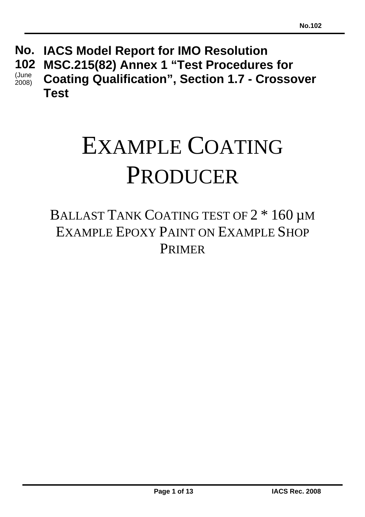#### **IACS Model Report for IMO Resolution No. MSC.215(82) Annex 1 "Test Procedures for Coating Qualification", Section 1.7 - Crossover Test 102**  (June 2008)

# EXAMPLE COATING PRODUCER

# BALLAST TANK COATING TEST OF  $2 * 160 \mu$ M EXAMPLE EPOXY PAINT ON EXAMPLE SHOP PRIMER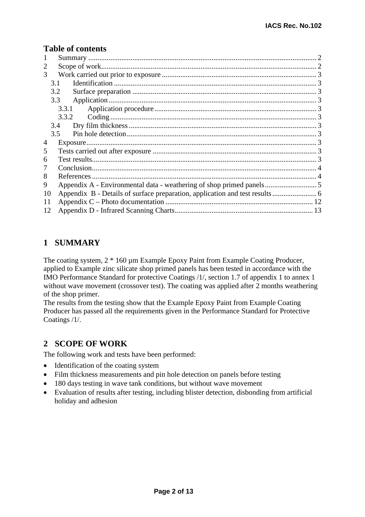#### **Table of contents**

| 1  |       |  |
|----|-------|--|
| 2  |       |  |
| 3  |       |  |
|    | 3.1   |  |
|    | 3.2   |  |
|    | 3.3   |  |
|    | 3.3.1 |  |
|    | 3.3.2 |  |
|    | 3.4   |  |
|    | 3.5   |  |
| 4  |       |  |
| 5  |       |  |
| 6  |       |  |
| 7  |       |  |
| 8  |       |  |
| 9  |       |  |
| 10 |       |  |
| 11 |       |  |
| 12 |       |  |

#### **1 SUMMARY**

The coating system,  $2 * 160 \mu m$  Example Epoxy Paint from Example Coating Producer, applied to Example zinc silicate shop primed panels has been tested in accordance with the IMO Performance Standard for protective Coatings /1/, section 1.7 of appendix 1 to annex 1 without wave movement (crossover test). The coating was applied after 2 months weathering of the shop primer.

The results from the testing show that the Example Epoxy Paint from Example Coating Producer has passed all the requirements given in the Performance Standard for Protective Coatings /1/.

#### **2 SCOPE OF WORK**

The following work and tests have been performed:

- Identification of the coating system
- Film thickness measurements and pin hole detection on panels before testing
- 180 days testing in wave tank conditions, but without wave movement
- Evaluation of results after testing, including blister detection, disbonding from artificial holiday and adhesion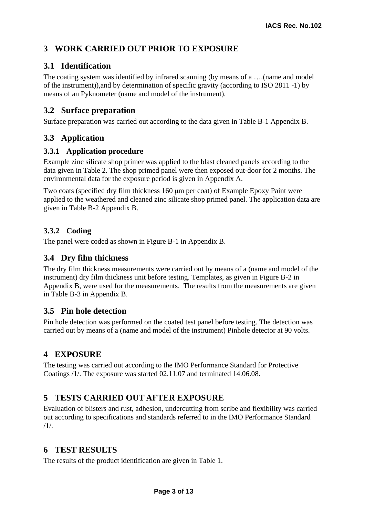## **3 WORK CARRIED OUT PRIOR TO EXPOSURE**

#### **3.1 Identification**

The coating system was identified by infrared scanning (by means of a ….(name and model of the instrument)),and by determination of specific gravity (according to ISO 2811 -1) by means of an Pyknometer (name and model of the instrument).

#### **3.2 Surface preparation**

Surface preparation was carried out according to the data given in Table B-1 Appendix B.

#### **3.3 Application**

#### **3.3.1 Application procedure**

Example zinc silicate shop primer was applied to the blast cleaned panels according to the data given in Table 2. The shop primed panel were then exposed out-door for 2 months. The environmental data for the exposure period is given in Appendix A.

Two coats (specified dry film thickness 160 μm per coat) of Example Epoxy Paint were applied to the weathered and cleaned zinc silicate shop primed panel. The application data are given in Table B-2 Appendix B.

#### **3.3.2 Coding**

The panel were coded as shown in Figure B-1 in Appendix B.

#### **3.4 Dry film thickness**

The dry film thickness measurements were carried out by means of a (name and model of the instrument) dry film thickness unit before testing. Templates, as given in Figure B-2 in Appendix B, were used for the measurements. The results from the measurements are given in Table B-3 in Appendix B.

#### **3.5 Pin hole detection**

Pin hole detection was performed on the coated test panel before testing. The detection was carried out by means of a (name and model of the instrument) Pinhole detector at 90 volts.

#### **4 EXPOSURE**

The testing was carried out according to the IMO Performance Standard for Protective Coatings /1/. The exposure was started 02.11.07 and terminated 14.06.08.

#### **5 TESTS CARRIED OUT AFTER EXPOSURE**

Evaluation of blisters and rust, adhesion, undercutting from scribe and flexibility was carried out according to specifications and standards referred to in the IMO Performance Standard /1/.

#### **6 TEST RESULTS**

The results of the product identification are given in Table 1.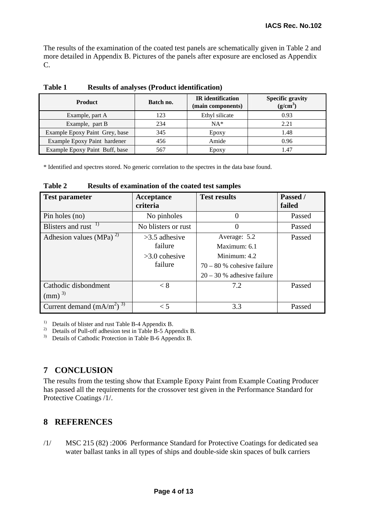The results of the examination of the coated test panels are schematically given in Table 2 and more detailed in Appendix B. Pictures of the panels after exposure are enclosed as Appendix C.

| <b>Product</b>                 | Batch no. | <b>IR</b> identification<br>(main components) | <b>Specific gravity</b><br>$(g/cm^3)$ |
|--------------------------------|-----------|-----------------------------------------------|---------------------------------------|
| Example, part A                | 123       | Ethyl silicate                                | 0.93                                  |
| Example, part B                | 234       | $NA*$                                         | 2.21                                  |
| Example Epoxy Paint Grey, base | 345       | Epoxy                                         | 1.48                                  |
| Example Epoxy Paint hardener   | 456       | Amide                                         | 0.96                                  |
| Example Epoxy Paint Buff, base | 567       | Epoxy                                         | 1.47                                  |

**Table 1 Results of analyses (Product identification)** 

\* Identified and spectres stored. No generic correlation to the spectres in the data base found.

| <b>Test parameter</b>                   | Acceptance<br>criteria | <b>Test results</b>          | Passed /<br>failed |
|-----------------------------------------|------------------------|------------------------------|--------------------|
| Pin holes (no)                          | No pinholes            | 0                            | Passed             |
| Blisters and rust <sup>1)</sup>         | No blisters or rust    | 0                            | Passed             |
| Adhesion values (MPa) <sup>2)</sup>     | $>3.5$ adhesive        | Average: 5.2                 | Passed             |
|                                         | failure                | Maximum: 6.1                 |                    |
|                                         | $>3.0$ cohesive        | Minimum: 4.2                 |                    |
|                                         | failure                | $70 - 80$ % cohesive failure |                    |
|                                         |                        | $20 - 30$ % adhesive failure |                    |
| Cathodic disbondment                    | < 8                    | 7.2                          | Passed             |
| $\text{(mm)}^{\,3)}$                    |                        |                              |                    |
| Current demand $(mA/m^2)^{\frac{3}{3}}$ | $\lt$ 5                | 3.3                          | Passed             |

**Table 2 Results of examination of the coated test samples** 

<sup>1)</sup> Details of blister and rust Table B-4 Appendix B.

<sup>2)</sup> Details of Pull-off adhesion test in Table B-5 Appendix B.

<sup>3)</sup> Details of Cathodic Protection in Table B-6 Appendix B.

#### **7 CONCLUSION**

The results from the testing show that Example Epoxy Paint from Example Coating Producer has passed all the requirements for the crossover test given in the Performance Standard for Protective Coatings /1/.

#### **8 REFERENCES**

/1/ MSC 215 (82) :2006 Performance Standard for Protective Coatings for dedicated sea water ballast tanks in all types of ships and double-side skin spaces of bulk carriers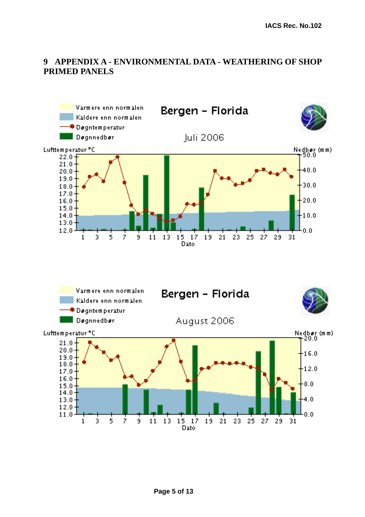#### **9 APPENDIX A - ENVIRONMENTAL DATA - WEATHERING OF SHOP PRIMED PANELS**

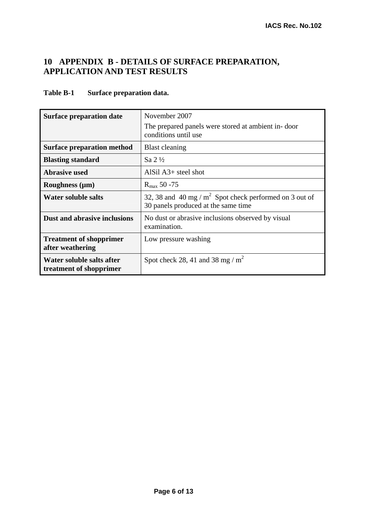#### **10 APPENDIX B - DETAILS OF SURFACE PREPARATION, APPLICATION AND TEST RESULTS**

#### **Table B-1 Surface preparation data.**

| <b>Surface preparation date</b>                      | November 2007                                                                                    |
|------------------------------------------------------|--------------------------------------------------------------------------------------------------|
|                                                      | The prepared panels were stored at ambient in-door<br>conditions until use                       |
| <b>Surface preparation method</b>                    | <b>Blast cleaning</b>                                                                            |
| <b>Blasting standard</b>                             | Sa $2\frac{1}{2}$                                                                                |
| <b>Abrasive used</b>                                 | AlSil $A3+$ steel shot                                                                           |
| Roughness $(\mu m)$                                  | $R_{\text{max}}$ 50 -75                                                                          |
| <b>Water soluble salts</b>                           | 32, 38 and 40 mg / $m^2$ Spot check performed on 3 out of<br>30 panels produced at the same time |
| Dust and abrasive inclusions                         | No dust or abrasive inclusions observed by visual<br>examination.                                |
| <b>Treatment of shopprimer</b><br>after weathering   | Low pressure washing                                                                             |
| Water soluble salts after<br>treatment of shopprimer | Spot check 28, 41 and 38 mg / $m^2$                                                              |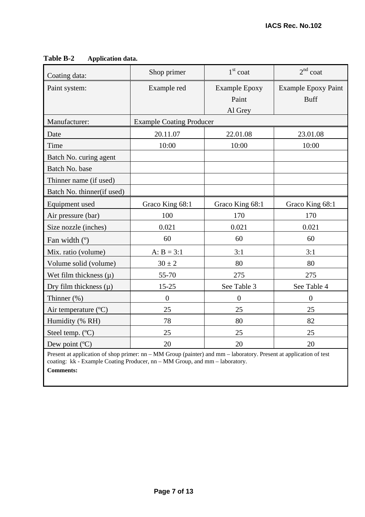| Coating data:              | Shop primer                     | $1st$ coat                    | $2nd$ coat                                |
|----------------------------|---------------------------------|-------------------------------|-------------------------------------------|
| Paint system:              | Example red                     | <b>Example Epoxy</b><br>Paint | <b>Example Epoxy Paint</b><br><b>Buff</b> |
|                            |                                 | Al Grey                       |                                           |
| Manufacturer:              | <b>Example Coating Producer</b> |                               |                                           |
| Date                       | 20.11.07                        | 22.01.08                      | 23.01.08                                  |
| Time                       | 10:00                           | 10:00                         | 10:00                                     |
| Batch No. curing agent     |                                 |                               |                                           |
| Batch No. base             |                                 |                               |                                           |
| Thinner name (if used)     |                                 |                               |                                           |
| Batch No. thinner(if used) |                                 |                               |                                           |
| Equipment used             | Graco King 68:1                 | Graco King 68:1               | Graco King 68:1                           |
| Air pressure (bar)         | 100                             | 170                           | 170                                       |
| Size nozzle (inches)       | 0.021                           | 0.021                         | 0.021                                     |
| Fan width $(°)$            | 60                              | 60                            | 60                                        |
| Mix. ratio (volume)        | $A: B = 3:1$                    | 3:1                           | 3:1                                       |
| Volume solid (volume)      | $30 \pm 2$                      | 80                            | 80                                        |
| Wet film thickness $(\mu)$ | 55-70                           | 275                           | 275                                       |
| Dry film thickness $(\mu)$ | $15 - 25$                       | See Table 3                   | See Table 4                               |
| Thinner $(\%)$             | $\boldsymbol{0}$                | $\overline{0}$                | $\overline{0}$                            |
| Air temperature (°C)       | 25                              | 25                            | 25                                        |
| Humidity (% RH)            | 78                              | 80                            | 82                                        |
| Steel temp. (°C)           | 25                              | 25                            | 25                                        |
| Dew point (°C)             | 20                              | 20                            | 20                                        |

#### **Table B-2 Application data.**

Present at application of shop primer: nn – MM Group (painter) and mm – laboratory. Present at application of test coating: kk - Example Coating Producer, nn – MM Group, and mm – laboratory.

**Comments:**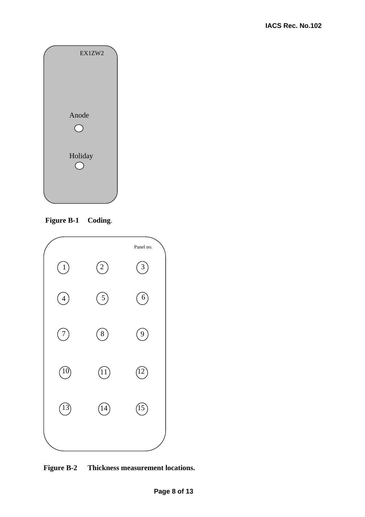

 **Figure B-1 Coding**.



**Figure B-2 Thickness measurement locations.**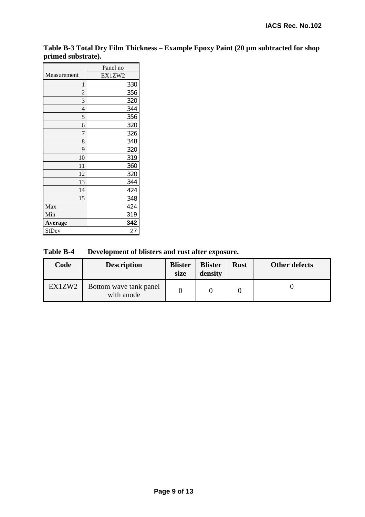**Table B-3 Total Dry Film Thickness – Example Epoxy Paint (20 µm subtracted for shop primed substrate).** 

|                | Panel no |
|----------------|----------|
| Measurement    | EX1ZW2   |
| 1              | 330      |
| $\overline{c}$ | 356      |
| 3              | 320      |
| $\overline{4}$ | 344      |
| 5              | 356      |
| 6              | 320      |
| 7              | 326      |
| 8              | 348      |
| 9              | 320      |
| 10             | 319      |
| 11             | 360      |
| 12             | 320      |
| 13             | 344      |
| 14             | 424      |
| 15             | 348      |
| Max            | 424      |
| Min            | 319      |
| Average        | 342      |
| StDev          | 27       |

**Table B-4 Development of blisters and rust after exposure.** 

| Code   | <b>Description</b>                   | <b>Blister</b><br>size | <b>Blister</b><br>density | <b>Rust</b> | <b>Other defects</b> |
|--------|--------------------------------------|------------------------|---------------------------|-------------|----------------------|
| EX1ZW2 | Bottom wave tank panel<br>with anode |                        |                           |             |                      |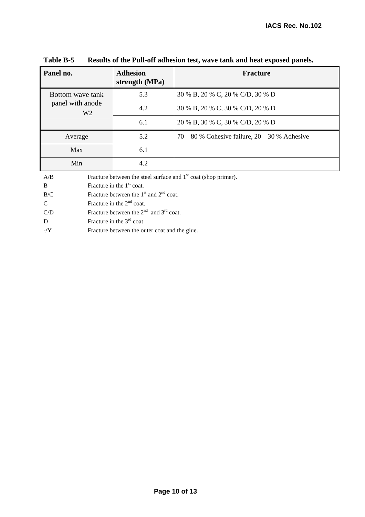| Panel no.                          | <b>Adhesion</b><br>strength (MPa) | <b>Fracture</b>                                    |
|------------------------------------|-----------------------------------|----------------------------------------------------|
| Bottom wave tank                   | 5.3                               | 30 % B, 20 % C, 20 % C/D, 30 % D                   |
| panel with anode<br>W <sub>2</sub> | 4.2                               | 30 % B, 20 % C, 30 % C/D, 20 % D                   |
|                                    | 6.1                               | 20 % B, 30 % C, 30 % C/D, 20 % D                   |
| Average                            | 5.2                               | $70 - 80$ % Cohesive failure, $20 - 30$ % Adhesive |
| Max                                | 6.1                               |                                                    |
| Min                                | 4.2                               |                                                    |

**Table B-5 Results of the Pull-off adhesion test, wave tank and heat exposed panels.** 

A/B Fracture between the steel surface and  $1<sup>st</sup>$  coat (shop primer).

B Fracture in the  $1<sup>st</sup>$  coat.

 $B/C$  Fracture between the 1<sup>st</sup> and 2<sup>nd</sup> coat.

C Fracture in the  $2<sup>nd</sup>$  coat.

C/D Fracture between the  $2<sup>nd</sup>$  and  $3<sup>rd</sup>$  coat.

D Fracture in the  $3<sup>rd</sup>$  coat

-/Y Fracture between the outer coat and the glue.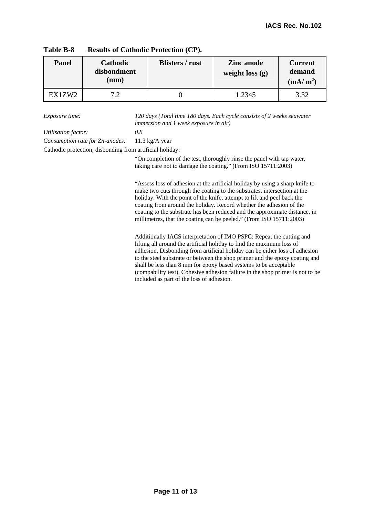| <b>Panel</b> | Cathodic<br>disbondment<br>$(\mathbf{mm})$ | <b>Blisters</b> / rust | <b>Zinc</b> anode<br>weight loss $(g)$ | <b>Current</b><br>demand<br>(mA/m <sup>2</sup> ) |
|--------------|--------------------------------------------|------------------------|----------------------------------------|--------------------------------------------------|
| EX1ZW2       | ר ה                                        |                        | 1.2345                                 | 3.32                                             |

| <b>Results of Cathodic Protection (CP).</b><br>Table B-8 |  |
|----------------------------------------------------------|--|
|----------------------------------------------------------|--|

*Exposure time: 120 days (Total time 180 days. Each cycle consists of 2 weeks seawater immersion and 1 week exposure in air)* 

*Utilisation factor: 0.8* 

*Consumption rate for Zn-anodes:* 11.3 kg/A year

Cathodic protection; disbonding from artificial holiday:

"On completion of the test, thoroughly rinse the panel with tap water, taking care not to damage the coating." (From ISO 15711:2003)

"Assess loss of adhesion at the artificial holiday by using a sharp knife to make two cuts through the coating to the substrates, intersection at the holiday. With the point of the knife, attempt to lift and peel back the coating from around the holiday. Record whether the adhesion of the coating to the substrate has been reduced and the approximate distance, in millimetres, that the coating can be peeled." (From ISO 15711:2003)

Additionally IACS interpretation of IMO PSPC: Repeat the cutting and lifting all around the artificial holiday to find the maximum loss of adhesion. Disbonding from artificial holiday can be either loss of adhesion to the steel substrate or between the shop primer and the epoxy coating and shall be less than 8 mm for epoxy based systems to be acceptable (compability test). Cohesive adhesion failure in the shop primer is not to be included as part of the loss of adhesion.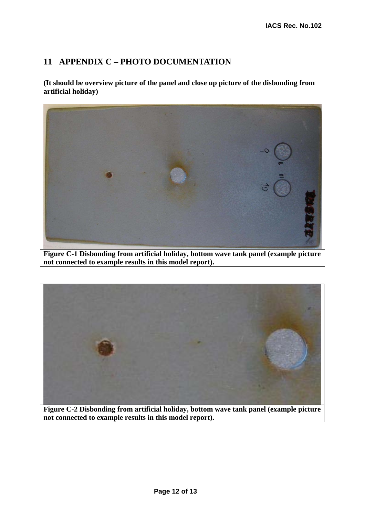#### **11 APPENDIX C – PHOTO DOCUMENTATION**

**(It should be overview picture of the panel and close up picture of the disbonding from artificial holiday)** 



**Figure C-1 Disbonding from artificial holiday, bottom wave tank panel (example picture not connected to example results in this model report).** 



**Figure C-2 Disbonding from artificial holiday, bottom wave tank panel (example picture not connected to example results in this model report).**